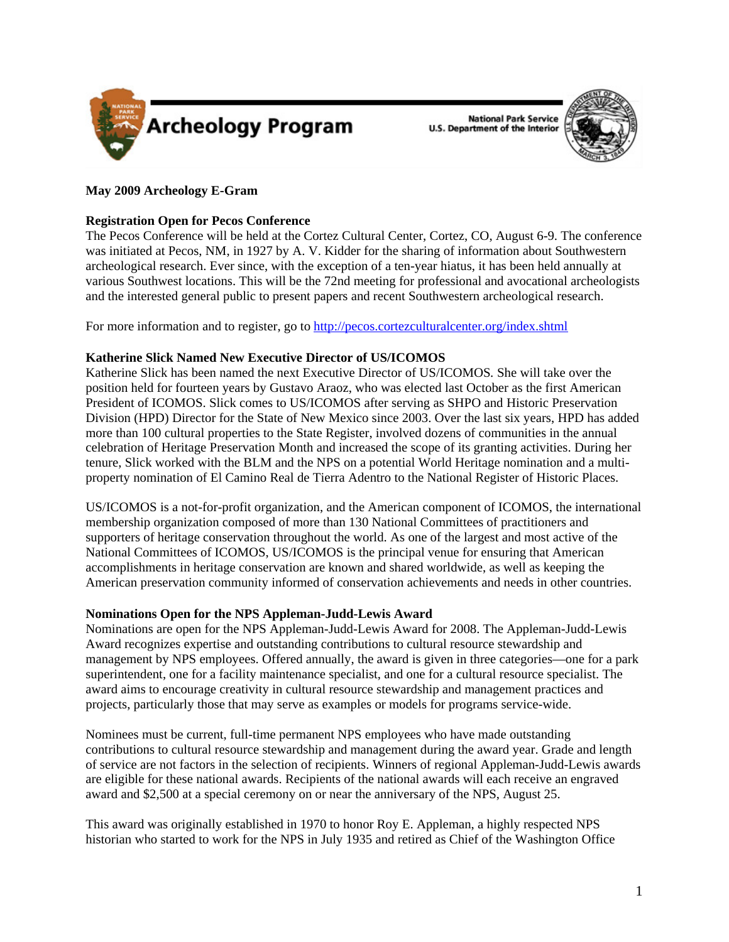

**National Park Service** U.S. Department of the Interior



# **May 2009 Archeology E-Gram**

## **Registration Open for Pecos Conference**

The Pecos Conference will be held at the Cortez Cultural Center, Cortez, CO, August 6-9. The conference was initiated at Pecos, NM, in 1927 by A. V. Kidder for the sharing of information about Southwestern archeological research. Ever since, with the exception of a ten-year hiatus, it has been held annually at various Southwest locations. This will be the 72nd meeting for professional and avocational archeologists and the interested general public to present papers and recent Southwestern archeological research.

For more information and to register, go to <http://pecos.cortezculturalcenter.org/index.shtml>

## **Katherine Slick Named New Executive Director of US/ICOMOS**

Katherine Slick has been named the next Executive Director of US/ICOMOS*.* She will take over the position held for fourteen years by Gustavo Araoz, who was elected last October as the first American President of ICOMOS. Slick comes to US/ICOMOS after serving as SHPO and Historic Preservation Division (HPD) Director for the State of New Mexico since 2003. Over the last six years, HPD has added more than 100 cultural properties to the State Register, involved dozens of communities in the annual celebration of Heritage Preservation Month and increased the scope of its granting activities. During her tenure, Slick worked with the BLM and the NPS on a potential World Heritage nomination and a multiproperty nomination of El Camino Real de Tierra Adentro to the National Register of Historic Places.

US/ICOMOS is a not-for-profit organization, and the American component of ICOMOS, the international membership organization composed of more than 130 National Committees of practitioners and supporters of heritage conservation throughout the world. As one of the largest and most active of the National Committees of ICOMOS, US/ICOMOS is the principal venue for ensuring that American accomplishments in heritage conservation are known and shared worldwide, as well as keeping the American preservation community informed of conservation achievements and needs in other countries.

## **Nominations Open for the NPS Appleman-Judd-Lewis Award**

Nominations are open for the NPS Appleman-Judd-Lewis Award for 2008. The Appleman-Judd-Lewis Award recognizes expertise and outstanding contributions to cultural resource stewardship and management by NPS employees. Offered annually, the award is given in three categories—one for a park superintendent, one for a facility maintenance specialist, and one for a cultural resource specialist. The award aims to encourage creativity in cultural resource stewardship and management practices and projects, particularly those that may serve as examples or models for programs service-wide.

Nominees must be current, full-time permanent NPS employees who have made outstanding contributions to cultural resource stewardship and management during the award year. Grade and length of service are not factors in the selection of recipients. Winners of regional Appleman-Judd-Lewis awards are eligible for these national awards. Recipients of the national awards will each receive an engraved award and \$2,500 at a special ceremony on or near the anniversary of the NPS, August 25.

This award was originally established in 1970 to honor Roy E. Appleman, a highly respected NPS historian who started to work for the NPS in July 1935 and retired as Chief of the Washington Office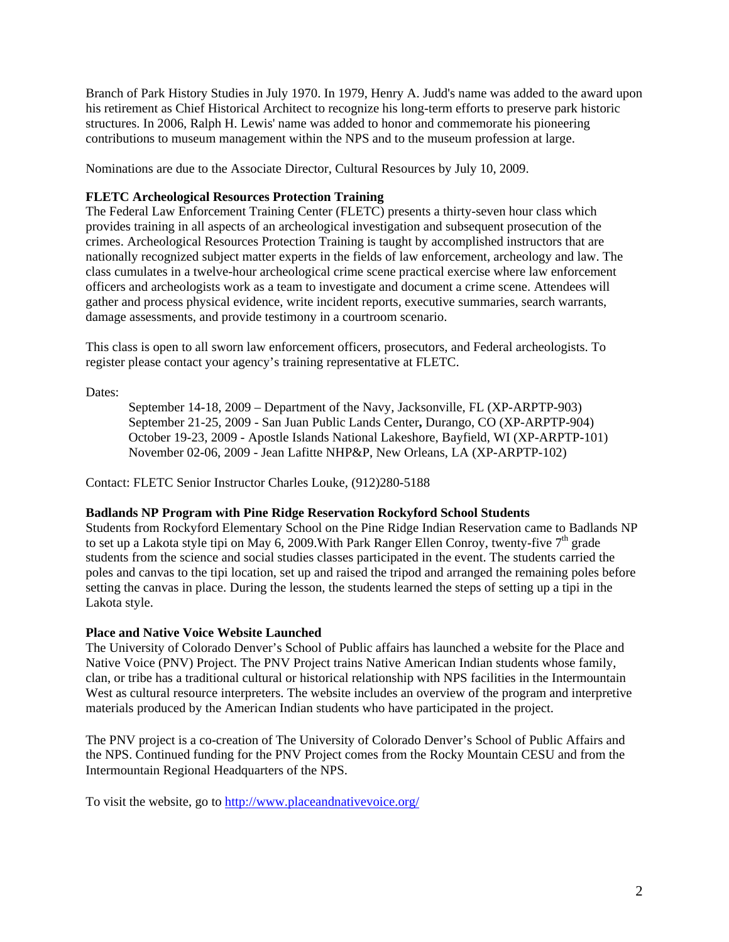Branch of Park History Studies in July 1970. In 1979, Henry A. Judd's name was added to the award upon his retirement as Chief Historical Architect to recognize his long-term efforts to preserve park historic structures. In 2006, Ralph H. Lewis' name was added to honor and commemorate his pioneering contributions to museum management within the NPS and to the museum profession at large.

Nominations are due to the Associate Director, Cultural Resources by July 10, 2009.

# **FLETC Archeological Resources Protection Training**

The Federal Law Enforcement Training Center (FLETC) presents a thirty-seven hour class which provides training in all aspects of an archeological investigation and subsequent prosecution of the crimes. Archeological Resources Protection Training is taught by accomplished instructors that are nationally recognized subject matter experts in the fields of law enforcement, archeology and law. The class cumulates in a twelve-hour archeological crime scene practical exercise where law enforcement officers and archeologists work as a team to investigate and document a crime scene. Attendees will gather and process physical evidence, write incident reports, executive summaries, search warrants, damage assessments, and provide testimony in a courtroom scenario.

This class is open to all sworn law enforcement officers, prosecutors, and Federal archeologists. To register please contact your agency's training representative at FLETC.

Dates:

September 14-18, 2009 – Department of the Navy, Jacksonville, FL (XP-ARPTP-903) September 21-25, 2009 - San Juan Public Lands Center**,** Durango, CO (XP-ARPTP-904) October 19-23, 2009 - Apostle Islands National Lakeshore, Bayfield, WI (XP-ARPTP-101) November 02-06, 2009 - Jean Lafitte NHP&P, New Orleans, LA (XP-ARPTP-102)

Contact: FLETC Senior Instructor Charles Louke, (912)280-5188

## **Badlands NP Program with Pine Ridge Reservation Rockyford School Students**

Students from Rockyford Elementary School on the Pine Ridge Indian Reservation came to Badlands NP to set up a Lakota style tipi on May 6, 2009. With Park Ranger Ellen Conroy, twenty-five  $7<sup>th</sup>$  grade students from the science and social studies classes participated in the event. The students carried the poles and canvas to the tipi location, set up and raised the tripod and arranged the remaining poles before setting the canvas in place. During the lesson, the students learned the steps of setting up a tipi in the Lakota style.

## **Place and Native Voice Website Launched**

The University of Colorado Denver's School of Public affairs has launched a website for the Place and Native Voice (PNV) Project. The PNV Project trains Native American Indian students whose family, clan, or tribe has a traditional cultural or historical relationship with NPS facilities in the Intermountain West as cultural resource interpreters. The website includes an overview of the program and interpretive materials produced by the American Indian students who have participated in the project.

The PNV project is a co-creation of The University of Colorado Denver's School of Public Affairs and the NPS. Continued funding for the PNV Project comes from the Rocky Mountain CESU and from the Intermountain Regional Headquarters of the NPS.

To visit the website, go to<http://www.placeandnativevoice.org/>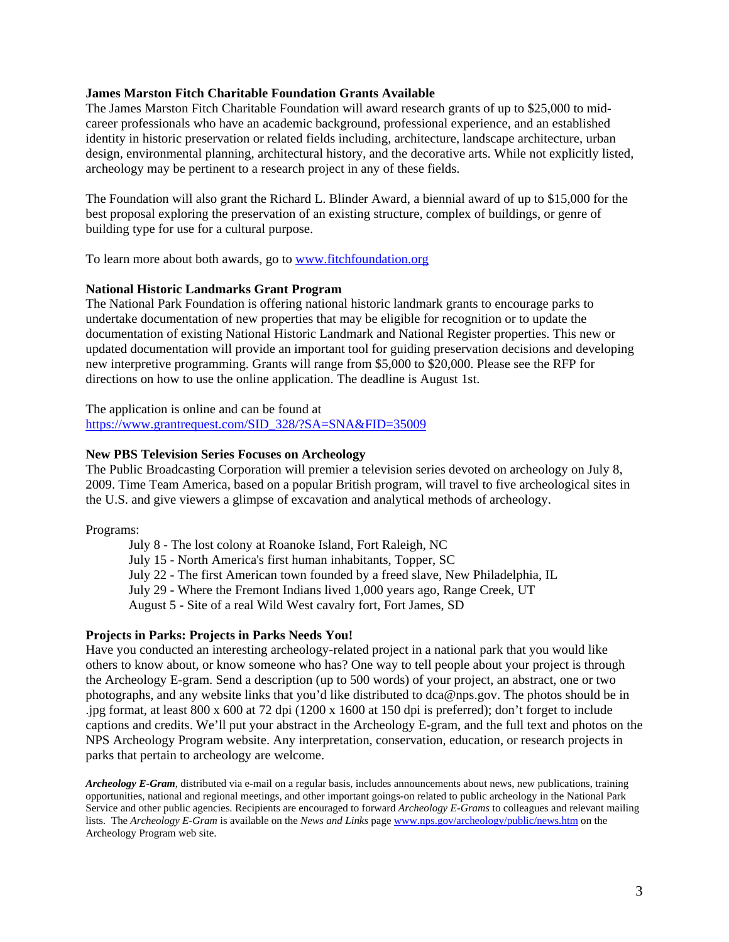#### **James Marston Fitch Charitable Foundation Grants Available**

The James Marston Fitch Charitable Foundation will award research grants of up to \$25,000 to midcareer professionals who have an academic background, professional experience, and an established identity in historic preservation or related fields including, architecture, landscape architecture, urban design, environmental planning, architectural history, and the decorative arts. While not explicitly listed, archeology may be pertinent to a research project in any of these fields.

The Foundation will also grant the Richard L. Blinder Award, a biennial award of up to \$15,000 for the best proposal exploring the preservation of an existing structure, complex of buildings, or genre of building type for use for a cultural purpose.

To learn more about both awards, go to<www.fitchfoundation.org>

#### **National Historic Landmarks Grant Program**

The National Park Foundation is offering national historic landmark grants to encourage parks to undertake documentation of new properties that may be eligible for recognition or to update the documentation of existing National Historic Landmark and National Register properties. This new or updated documentation will provide an important tool for guiding preservation decisions and developing new interpretive programming. Grants will range from \$5,000 to \$20,000. Please see the RFP for directions on how to use the online application. The deadline is August 1st.

The application is online and can be found at [https://www.grantrequest.com/SID\\_328/?SA=SNA&FID=35009](https://www.grantrequest.com/SID_328/?SA=SNA&FID=35009)

#### **New PBS Television Series Focuses on Archeology**

The Public Broadcasting Corporation will premier a television series devoted on archeology on July 8, 2009. Time Team America, based on a popular British program, will travel to five archeological sites in the U.S. and give viewers a glimpse of excavation and analytical methods of archeology.

Programs:

July 8 - The lost colony at Roanoke Island, Fort Raleigh, NC July 15 - North America's first human inhabitants, Topper, SC July 22 - The first American town founded by a freed slave, New Philadelphia, IL July 29 - Where the Fremont Indians lived 1,000 years ago, Range Creek, UT August 5 - Site of a real Wild West cavalry fort, Fort James, SD

## **Projects in Parks: Projects in Parks Needs You!**

Have you conducted an interesting archeology-related project in a national park that you would like others to know about, or know someone who has? One way to tell people about your project is through the Archeology E-gram. Send a description (up to 500 words) of your project, an abstract, one or two photographs, and any website links that you'd like distributed to dca@nps.gov. The photos should be in .jpg format, at least 800 x 600 at 72 dpi (1200 x 1600 at 150 dpi is preferred); don't forget to include captions and credits. We'll put your abstract in the Archeology E-gram, and the full text and photos on the NPS Archeology Program website. Any interpretation, conservation, education, or research projects in parks that pertain to archeology are welcome.

*Archeology E-Gram*, distributed via e-mail on a regular basis, includes announcements about news, new publications, training opportunities, national and regional meetings, and other important goings-on related to public archeology in the National Park Service and other public agencies. Recipients are encouraged to forward *Archeology E-Grams* to colleagues and relevant mailing lists. The *Archeology E-Gram* is available on the *News and Links* page <www.nps.gov/archeology/public/news.htm>on the Archeology Program web site.